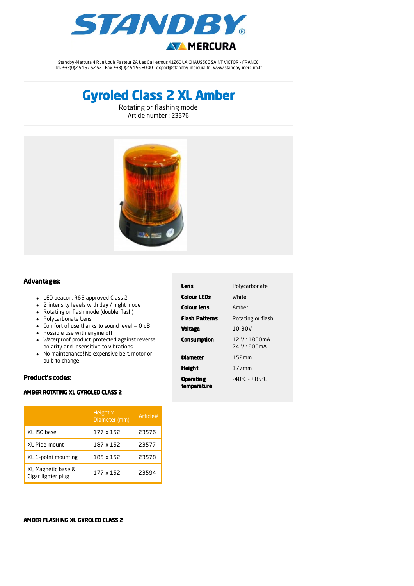

Standby-Mercura 4 Rue Louis Pasteur ZA Les Gailletrous 41260 LA CHAUSSEE SAINT VICTOR - FRANCE Tél. +33(0)2 54 57 52 52 – Fax +33(0)2 54 56 80 00 – export@standby-mercura.fr – www.standby-mercura.fr

# Gyroled Class 2 XL Amber

Rotating or flashing mode Article number : 23576



### Advantages:

- LED beacon, R65 approved Class 2
- 2 intensity levels with day / night mode
- Rotating or flash mode (double flash)
- Polycarbonate Lens
- Comfort of use thanks to sound level =  $0$  dB
- Possible use with engine off
- Waterproof product, protected against reverse polarity and insensitive to vibrations
- No maintenance! No expensive belt, motor or bulb to change

# Product's codes:

## AMBER ROTATING XL GYROLED CLASS 2

|                                          | Height x<br>Diameter (mm) | Article# |
|------------------------------------------|---------------------------|----------|
| XL ISO base                              | 177 x 152                 | 23576    |
| XL Pipe-mount                            | 187 x 152                 | 23577    |
| XL 1-point mounting                      | 185 x 152                 | 23578    |
| XL Magnetic base &<br>Cigar lighter plug | 177 x 152                 | 23594    |

| Lens                            | Polycarbonate                      |  |
|---------------------------------|------------------------------------|--|
| <b>Colour LEDs</b>              | White                              |  |
| Colour lens                     | Amber                              |  |
| <b>Flash Patterns</b>           | Rotating or flash                  |  |
| <b>Voltage</b>                  | 10-30V                             |  |
| <b>Consumption</b>              | 12 V:1800mA<br>$24$ V · 900mA      |  |
| Diameter                        | 152mm                              |  |
| <b>Height</b>                   | 177mm                              |  |
| <b>Operating</b><br>temperature | $-40^{\circ}$ C - +85 $^{\circ}$ C |  |

#### AMBER FLASHING XL GYROLED CLASS 2